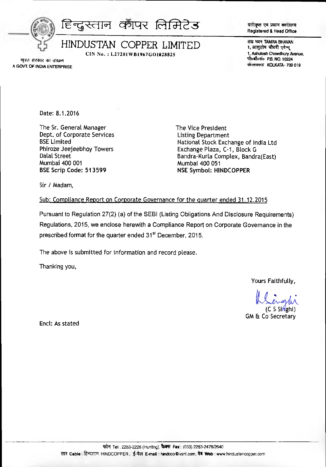

CIN No.: L27201WB1967GO1028825

पंजीकृत एवं प्रधान कार्यालय Registered & Head Office

ताम्र भवन TAMRA BHAVAN 1. आशुतोष चौधरी एवेन्यू 1, Ashutosh Chowdhury Avenue. पोर्व्वॉर्०सं० P.B. NO. 10224 को लकाता KOLKATA - 700 019

भारत सरकार का उपक्रम A GOVT. OF INDIA ENTERPRISE

Date: 8.1.2016

The Sr. General Manager Dept. of Corporate Services **BSE Limited** Phiroze Jeejeebhoy Towers **Dalal Street** Mumbai 400 001 BSE Scrip Code: 513599

The Vice President **Listing Department** National Stock Exchange of India Ltd Exchange Plaza, C-1, Block G Bandra-Kurla Complex, Bandra(East) Mumbai 400 051 **NSE Symbol: HINDCOPPER** 

Sir / Madam,

## Sub: Compliance Report on Corporate Governance for the quarter ended 31.12.2015

Pursuant to Regulation 27(2) (a) of the SEBI (Listing Obligations And Disclosure Requirements) Regulations, 2015, we enclose herewith a Compliance Report on Corporate Governance in the prescribed format for the quarter ended 31<sup>st</sup> December, 2015.

The above is submitted for information and record please.

Thanking you,

Yours Faithfully,

 $C S$  Singhi

**GM & Co Secretary** 

Encl: As stated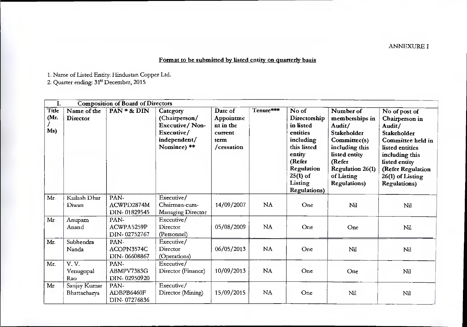## ANNEXURE I

## Format to be submitted by listed entity on quarterly basis

1. Name of Listed Entity: Hindustan Copper Ltd.

2. Quarter ending: 31" December, 2015

| I.                   |                              | <b>Composition of Board of Directors</b> |                                                                                                 |                                                                    |           |                                                                                                                                                               |                                                                                                                                                                                    |                                                                                                                                                                                                      |
|----------------------|------------------------------|------------------------------------------|-------------------------------------------------------------------------------------------------|--------------------------------------------------------------------|-----------|---------------------------------------------------------------------------------------------------------------------------------------------------------------|------------------------------------------------------------------------------------------------------------------------------------------------------------------------------------|------------------------------------------------------------------------------------------------------------------------------------------------------------------------------------------------------|
| Title<br>(Mr.<br>Ms) | Name of the<br>Director      | PAN * & DIN                              | Category<br>(Chairperson/<br><b>Executive/Non-</b><br>Executive/<br>independent/<br>Nominee) ** | Date of<br>Appointme<br>nt in the<br>current<br>term<br>/cessation | Tenure*** | No of<br>Directorship<br>in listed<br>entities<br>including<br>this listed<br>entity<br>(Refer<br>Regulation<br>$25(1)$ of<br>Listing<br><b>Regulations</b> ) | Number of<br>memberships in<br>Audit/<br>Stakeholder<br>Committee(s)<br>including this<br>listed entity<br>(Refer<br><b>Regulation 26(1)</b><br>of Listing<br><b>Regulations</b> ) | No of post of<br>Chairperson in<br>Audit/<br>Stakeholder<br>Committee held in<br>listed entities<br>including this<br>listed entity<br>(Refer Regulation<br>26(1) of Listing<br><b>Regulations</b> ) |
| Mr                   | Kailash Dhar<br>Diwan        | PAN-<br>ACWPD2874M<br>DIN-01829545       | Executive/<br>Chairman-cum-<br>Managing Director                                                | 14/09/2007                                                         | NA        | One                                                                                                                                                           | Nil                                                                                                                                                                                | Nil                                                                                                                                                                                                  |
| Mr                   | Anupam<br>Anand              | PAN-<br>ACWPA5259P<br>DIN-02752767       | Executive/<br>Director<br>(Personnel)                                                           | 05/08/2009                                                         | <b>NA</b> | One                                                                                                                                                           | One                                                                                                                                                                                | Nil                                                                                                                                                                                                  |
| Mr.                  | Subhendra<br>Nanda           | PAN-<br>ACOPN3574C<br>DIN-06608867       | Executive/<br>Director<br>(Operations)                                                          | 06/05/2013                                                         | NA        | One                                                                                                                                                           | Nil                                                                                                                                                                                | Nil                                                                                                                                                                                                  |
| Mr.                  | V.V.<br>Venugopal<br>Rao     | PAN-<br>ABMPV7383G<br>DIN-02950920       | Executive/<br>Director (Finance)                                                                | 10/09/2013                                                         | NA        | One                                                                                                                                                           | One                                                                                                                                                                                | Nil                                                                                                                                                                                                  |
| Mr.                  | Sanjay Kumar<br>Bhattacharya | PAN-<br>ADBPB6460F<br>DIN-07276836       | Executive/<br>Director (Mining)                                                                 | 15/09/2015                                                         | <b>NA</b> | One                                                                                                                                                           | Nil                                                                                                                                                                                | Nil                                                                                                                                                                                                  |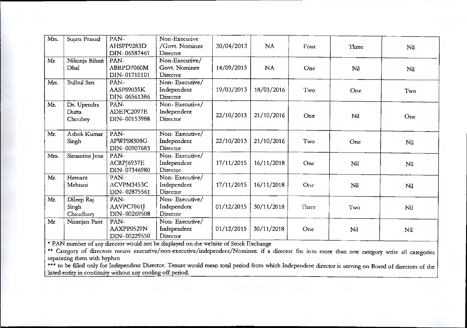| Mrs. | Sujata Prasad     | PAN-         | Non-Executive  |            |            |       |       |     |
|------|-------------------|--------------|----------------|------------|------------|-------|-------|-----|
|      |                   | AHSPP9283D   | /Govt. Nominee | 30/04/2013 | <b>NA</b>  | Four  | Three | Nil |
|      |                   | DIN-06587461 | Director       |            |            |       |       |     |
| Mr   | Nikunja Bihari    | PAN-         | Non-Executive/ |            |            |       |       |     |
|      | Dhal              | ABRPD7060M   | Govt. Nominee  | 14/09/2015 | NA         | One   | Nil   | Nil |
|      |                   | DIN-01710101 | Director       |            |            |       |       |     |
| Mrs. | <b>Bulbul Sen</b> | PAN-         | Non-Executive/ |            |            |       |       |     |
|      |                   | AASPS9035K   | Independent    | 19/03/2013 | 18/03/2016 | Two   | One   | Two |
|      |                   | DIN-06561386 | Director       |            |            |       |       |     |
| Mr.  | Dr. Upendra       | PAN-         | Non-Executive/ |            |            |       |       |     |
|      | Dutta             | ADEPC2097E   | Independent    | 22/10/2013 | 21/10/2016 | One   |       |     |
|      | Choubey           | DIN-00153988 | Director       |            |            |       | Nil   | One |
|      |                   |              |                |            |            |       |       |     |
| Mr.  | Ashok Kumar       | PAN-         | Non-Executive/ |            |            |       |       |     |
|      | Singh             | AFWPS8308G   | Independent    | 22/10/2013 | 21/10/2016 | Two   | One   | Nil |
|      |                   | DIN-00907683 | Director       |            |            |       |       |     |
| Mrs. | Simantini Jena    | PAN-         | Non-Executive/ |            |            |       |       |     |
|      |                   | ACRPJ6937E   | Independent    | 17/11/2015 | 16/11/2018 | One   | Nil   | Nil |
|      |                   | DIN-07346980 | Director       |            |            |       |       |     |
| Mr.  | Hemant            | PAN-         | Non-Executive/ |            |            |       |       |     |
|      | Mehtani           | ACVPM3453C   | Independent    | 17/11/2015 | 16/11/2018 | One   | Nil   | Nil |
|      |                   | DIN-02875561 | Director       |            |            |       |       |     |
| Mr.  | Dileep Raj        | PAN-         | Non-Executive/ |            |            |       |       |     |
|      | Singh             | AAVPC7061J   | Independent    | 01/12/2015 | 30/11/2018 | Three | Two   | Nil |
|      | Chaudhary         | DIN-00269508 | Director       |            |            |       |       |     |
| Mr.  | Niranjan Pant     | PAN-         | Non-Executive/ |            |            |       |       |     |
|      |                   | AAXPP0529N   | Independent    | 01/12/2015 | 30/11/2018 | One   | Nil   | Nil |
|      |                   | DIN-00229550 | Director       |            |            |       |       |     |

\* PAN number of any director would not be displayed on the website of Stock Exchange

\*\* Category of directors means executive/non-executive/independent/Nominee. if a director fits into more than one category write all categories separating them with hyphen

\*\*\* to be filled only for Independent Director. Tenure would mean total period from which Independent director is serving on Board of directors of the listed entity in continuity without any cooling off period.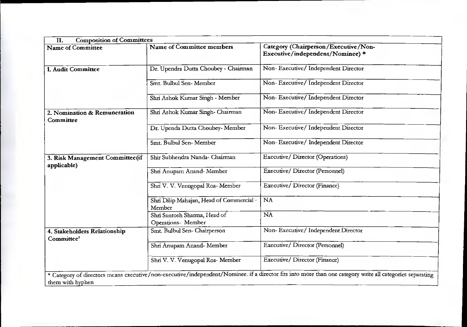| <b>Name of Committee</b>                       | <b>Composition of Committees</b><br>Name of Committee members | Category (Chairperson/Executive/Non- |  |  |
|------------------------------------------------|---------------------------------------------------------------|--------------------------------------|--|--|
|                                                |                                                               | Executive/independent/Nominee) *     |  |  |
| 1. Audit Committee                             | Dr. Upendra Dutta Choubey - Chairman                          | Non-Executive/ Independent Director  |  |  |
|                                                | Smt. Bulbul Sen-Member                                        | Non-Executive/Independent Director   |  |  |
|                                                | Shri Ashok Kumar Singh - Member                               | Non-Executive/Independent Director   |  |  |
| 2. Nomination & Remuneration<br>Committee      | Shri Ashok Kumar Singh- Chairman                              | Non-Executive/Independent Director   |  |  |
|                                                | Dr. Upenda Dutta Choubey- Member                              | Non-Executive/Independent Director   |  |  |
|                                                | Smt. Bulbul Sen-Member                                        | Non-Executive/Independent Director   |  |  |
| 3. Risk Management Committee(if<br>applicable) | Shir Subhendra Nanda- Chairman                                | Executive/Director (Operations)      |  |  |
|                                                | Shri Anupam Anand- Member                                     | Executive/Director (Personnel)       |  |  |
|                                                | Shri V. V. Venugopal Roa- Member                              | Executive/ Director (Finance)        |  |  |
|                                                | Shri Dilip Mahajan, Head of Commercial-<br>Member             | NA                                   |  |  |
|                                                | Shri Santosh Sharma, Head of<br>Operations- Member            | NA                                   |  |  |
| 4. Stakeholders Relationship<br>Committee'     | Smt. Bulbul Sen-Chairperson                                   | Non-Executive/Independent Director   |  |  |
|                                                | Shri Anupam Anand- Member                                     | Executive/ Director (Personnel)      |  |  |
|                                                | Shri V. V. Venugopal Roa-Member                               | Executive/ Director (Finance)        |  |  |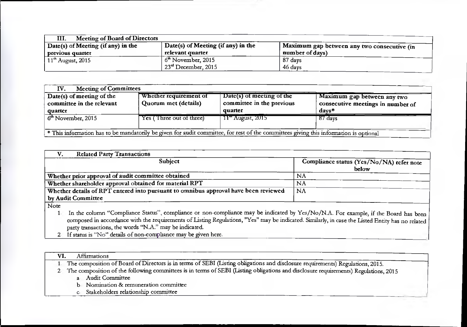| Meeting of Board of Directors<br>III. |                                                  |                                             |
|---------------------------------------|--------------------------------------------------|---------------------------------------------|
| Date(s) of Meeting (if any) in the    | $\frac{1}{1}$ Date(s) of Meeting (if any) in the | Maximum gap between any two consecutive (in |
| previous quarter                      | relevant quarter                                 | number of days)                             |
| $11th$ August, 2015                   | $6th$ November, 2015                             | 87 days                                     |
|                                       | $+23rd$ December, 2015                           | 46 days                                     |

| <b>Meeting of Committees</b><br>IV.                    |                                                |                                                                                                                                       |                                                                  |
|--------------------------------------------------------|------------------------------------------------|---------------------------------------------------------------------------------------------------------------------------------------|------------------------------------------------------------------|
| Date(s) of meeting of the<br>committee in the relevant | Whether requirement of<br>Quorum met (details) | Date(s) of meeting of the<br>committee in the previous                                                                                | Maximum gap between any two<br>consecutive meetings in number of |
| quarter                                                |                                                | quarter                                                                                                                               | $d$ avs*                                                         |
| $6th$ November, 2015                                   | Yes (Three out of three)                       | 11 <sup>th</sup> August, 2015                                                                                                         | $87 \text{ days}$                                                |
|                                                        |                                                |                                                                                                                                       |                                                                  |
|                                                        |                                                | * This information has to be mandatorily be given for audit committee, for rest of the committees giving this information is optional |                                                                  |

| <b>Related Party Transactions</b>                                                   |                                                   |
|-------------------------------------------------------------------------------------|---------------------------------------------------|
| <b>Subject</b>                                                                      | Compliance status (Yes/No/NA) refer note<br>below |
| Whether prior approval of audit committee obtained                                  | NΑ                                                |
| Whether shareholder approval obtained for material RPT                              | ΝA                                                |
| Whether details of RPT entered into pursuant to omnibus approval have been reviewed | NA                                                |
| by Audit Committee                                                                  |                                                   |

Note

- 1. In the column "Compliance Status", compliance or non-compliance may be indicated by Yes/No/N.A. For example, if the Board has been composed in accordance with the requirements of Listing Regulations, "Yes" may be indicated. Similarly, in case the Listed Entity has no related party transactions, the words "N.A." may be indicated.
- 2. If status is "No" details of non-compliance may be given here.

| <i>Affirmations</i>                                                                                                                   |  |
|---------------------------------------------------------------------------------------------------------------------------------------|--|
| 1 The composition of Board of Directors is in terms of SEBI (Listing obligations and disclosure requirements) Regulations, 2015.      |  |
| 2 The composition of the following committees is in terms of SEBI (Listing obligations and disclosure requirements) Regulations, 2015 |  |
| <b>Audit Committee</b><br>a <sub>i</sub>                                                                                              |  |
| b. Nomination & remuneration committee                                                                                                |  |
| Stakeholders relationship committee                                                                                                   |  |